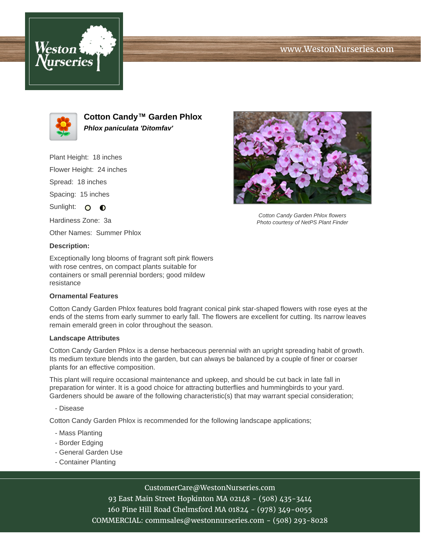# www.WestonNurseries.com





**Cotton Candy™ Garden Phlox Phlox paniculata 'Ditomfav'**

Plant Height: 18 inches

Flower Height: 24 inches

Spread: 18 inches

Spacing: 15 inches

Sunlight: O O

Hardiness Zone: 3a

Other Names: Summer Phlox

#### **Description:**

Exceptionally long blooms of fragrant soft pink flowers with rose centres, on compact plants suitable for containers or small perennial borders; good mildew resistance

#### **Ornamental Features**

Cotton Candy Garden Phlox features bold fragrant conical pink star-shaped flowers with rose eyes at the ends of the stems from early summer to early fall. The flowers are excellent for cutting. Its narrow leaves remain emerald green in color throughout the season.

#### **Landscape Attributes**

Cotton Candy Garden Phlox is a dense herbaceous perennial with an upright spreading habit of growth. Its medium texture blends into the garden, but can always be balanced by a couple of finer or coarser plants for an effective composition.

This plant will require occasional maintenance and upkeep, and should be cut back in late fall in preparation for winter. It is a good choice for attracting butterflies and hummingbirds to your yard. Gardeners should be aware of the following characteristic(s) that may warrant special consideration;

- Disease

Cotton Candy Garden Phlox is recommended for the following landscape applications;

- Mass Planting
- Border Edging
- General Garden Use
- Container Planting

### CustomerCare@WestonNurseries.com

93 East Main Street Hopkinton MA 02148 - (508) 435-3414 160 Pine Hill Road Chelmsford MA 01824 - (978) 349-0055 COMMERCIAL: commsales@westonnurseries.com - (508) 293-8028



Cotton Candy Garden Phlox flowers Photo courtesy of NetPS Plant Finder